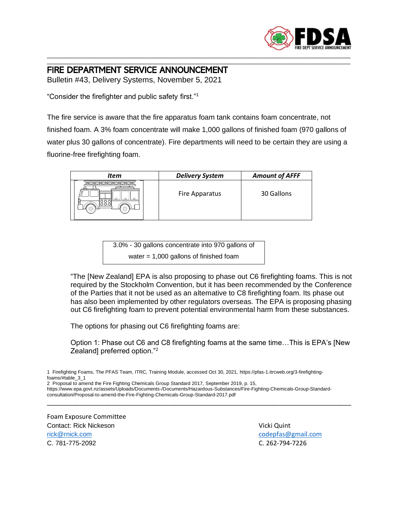

## \_\_\_\_\_\_\_\_\_\_\_\_\_\_\_\_\_\_\_\_\_\_\_\_\_\_\_\_\_\_\_\_\_\_\_\_\_\_\_\_\_\_\_\_\_\_\_\_\_\_\_\_\_\_\_\_\_\_\_\_\_\_\_\_\_\_\_\_\_\_\_\_\_\_\_\_\_\_\_\_\_\_\_\_\_\_\_\_\_\_\_\_\_\_\_\_\_\_\_\_\_\_\_\_\_\_\_\_\_\_\_\_\_\_\_\_ FIRE DEPARTMENT SERVICE ANNOUNCEMENT

Bulletin #43, Delivery Systems, November 5, 2021

"Consider the firefighter and public safety first."<sup>1</sup>

The fire service is aware that the fire apparatus foam tank contains foam concentrate, not finished foam. A 3% foam concentrate will make 1,000 gallons of finished foam (970 gallons of water plus 30 gallons of concentrate). Fire departments will need to be certain they are using a fluorine-free firefighting foam.

\_\_\_\_\_\_\_\_\_\_\_\_\_\_\_\_\_\_\_\_\_\_\_\_\_\_\_\_\_\_\_\_\_\_\_\_\_\_\_\_\_\_\_\_\_\_\_\_\_\_\_\_\_\_\_\_\_\_\_\_\_\_\_\_\_\_\_\_\_\_\_\_\_\_\_\_\_\_\_\_\_\_\_\_\_\_\_\_\_\_\_\_\_\_\_\_\_\_\_\_\_\_\_\_\_\_\_\_\_\_\_\_\_\_\_\_

| Item | <b>Delivery System</b> | <b>Amount of AFFF</b> |
|------|------------------------|-----------------------|
|      | Fire Apparatus         | 30 Gallons            |

3.0% - 30 gallons concentrate into 970 gallons of water = 1,000 gallons of finished foam

"The [New Zealand] EPA is also proposing to phase out C6 firefighting foams. This is not required by the Stockholm Convention, but it has been recommended by the Conference of the Parties that it not be used as an alternative to C8 firefighting foam. Its phase out has also been implemented by other regulators overseas. The EPA is proposing phasing out C6 firefighting foam to prevent potential environmental harm from these substances.

The options for phasing out C6 firefighting foams are:

Option 1: Phase out C6 and C8 firefighting foams at the same time…This is EPA's [New Zealand] preferred option."<sup>2</sup>

2 Proposal to amend the Fire Fighting Chemicals Group Standard 2017, September 2019, p. 15,

https://www.epa.govt.nz/assets/Uploads/Documents-/Documents/Hazardous-Substances/Fire-Fighting-Chemicals-Group-Standardconsultation/Proposal-to-amend-the-Fire-Fighting-Chemicals-Group-Standard-2017.pdf

\_\_\_\_\_\_\_\_\_\_\_\_\_\_\_\_\_\_\_\_\_\_\_\_\_\_\_\_\_\_\_\_\_\_\_\_\_\_\_\_\_\_\_\_\_\_\_\_\_\_\_\_\_\_\_\_\_\_\_\_\_\_\_\_\_\_\_\_\_\_\_\_\_\_\_\_\_\_\_\_\_\_\_\_\_

Foam Exposure Committee Contact: Rick Nickeson Vicki Quint [rick@rnick.com](mailto:rick@rnick.com) [codepfas@gmail.com](mailto:codepfas@gmail.com) C. 781-775-2092 C. 262-794-7226

<sup>1</sup> Firefighting Foams, The PFAS Team, ITRC, Training Module, accessed Oct 30, 2021, https://pfas-1.itrcweb.org/3-firefightingfoams/#table\_3\_1